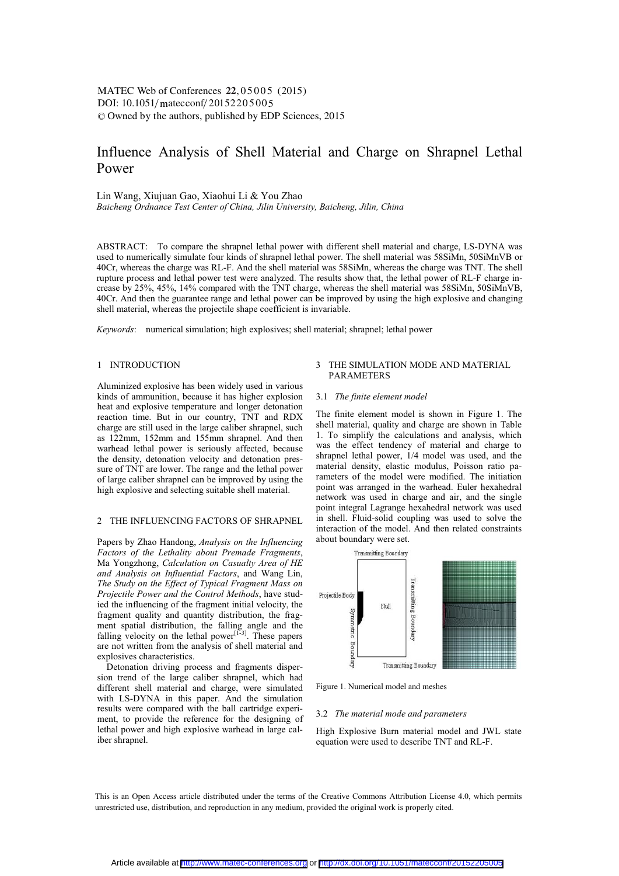# Influence Analysis of Shell Material and Charge on Shrapnel Lethal Power

Lin Wang, Xiujuan Gao, Xiaohui Li & You Zhao *Baicheng Ordnance Test Center of China, Jilin University, Baicheng, Jilin, China* 

ABSTRACT: To compare the shrapnel lethal power with different shell material and charge, LS-DYNA was used to numerically simulate four kinds of shrapnel lethal power. The shell material was 58SiMn, 50SiMnVB or 40Cr, whereas the charge was RL-F. And the shell material was 58SiMn, whereas the charge was TNT. The shell rupture process and lethal power test were analyzed. The results show that, the lethal power of RL-F charge increase by 25%, 45%, 14% compared with the TNT charge, whereas the shell material was 58SiMn, 50SiMnVB, 40Cr. And then the guarantee range and lethal power can be improved by using the high explosive and changing shell material, whereas the projectile shape coefficient is invariable.

*Keywords*: numerical simulation; high explosives; shell material; shrapnel; lethal power

### 1 INTRODUCTION

Aluminized explosive has been widely used in various kinds of ammunition, because it has higher explosion heat and explosive temperature and longer detonation reaction time. But in our country, TNT and RDX charge are still used in the large caliber shrapnel, such as 122mm, 152mm and 155mm shrapnel. And then warhead lethal power is seriously affected, because the density, detonation velocity and detonation pressure of TNT are lower. The range and the lethal power of large caliber shrapnel can be improved by using the high explosive and selecting suitable shell material.

### 2 THE INFLUENCING FACTORS OF SHRAPNEL

Papers by Zhao Handong, *Analysis on the Influencing Factors of the Lethality about Premade Fragments*, Ma Yongzhong, *Calculation on Casualty Area of HE and Analysis on Influential Factors*, and Wang Lin, *The Study on the Effect of Typical Fragment Mass on Projectile Power and the Control Methods*, have studied the influencing of the fragment initial velocity, the fragment quality and quantity distribution, the fragment spatial distribution, the falling angle and the falling velocity on the lethal power<sup>[1-3]</sup>. These papers are not written from the analysis of shell material and explosives characteristics.

Detonation driving process and fragments dispersion trend of the large caliber shrapnel, which had different shell material and charge, were simulated with LS-DYNA in this paper. And the simulation results were compared with the ball cartridge experiment, to provide the reference for the designing of lethal power and high explosive warhead in large caliber shrapnel.

# 3 THE SIMULATION MODE AND MATERIAL **PARAMETERS**

### 3.1 *The finite element model*

The finite element model is shown in Figure 1. The shell material, quality and charge are shown in Table 1. To simplify the calculations and analysis, which was the effect tendency of material and charge to shrapnel lethal power, 1/4 model was used, and the material density, elastic modulus, Poisson ratio parameters of the model were modified. The initiation point was arranged in the warhead. Euler hexahedral network was used in charge and air, and the single point integral Lagrange hexahedral network was used in shell. Fluid-solid coupling was used to solve the interaction of the model. And then related constraints about boundary were set.



Figure 1. Numerical model and meshes

#### 3.2 *The material mode and parameters*

High Explosive Burn material model and JWL state equation were used to describe TNT and RL-F.

This is an Open Access article distributed under the terms of the Creative Commons Attribution License 4.0, which permits unrestricted use, distribution, and reproduction in any medium, provided the original work is properly cited.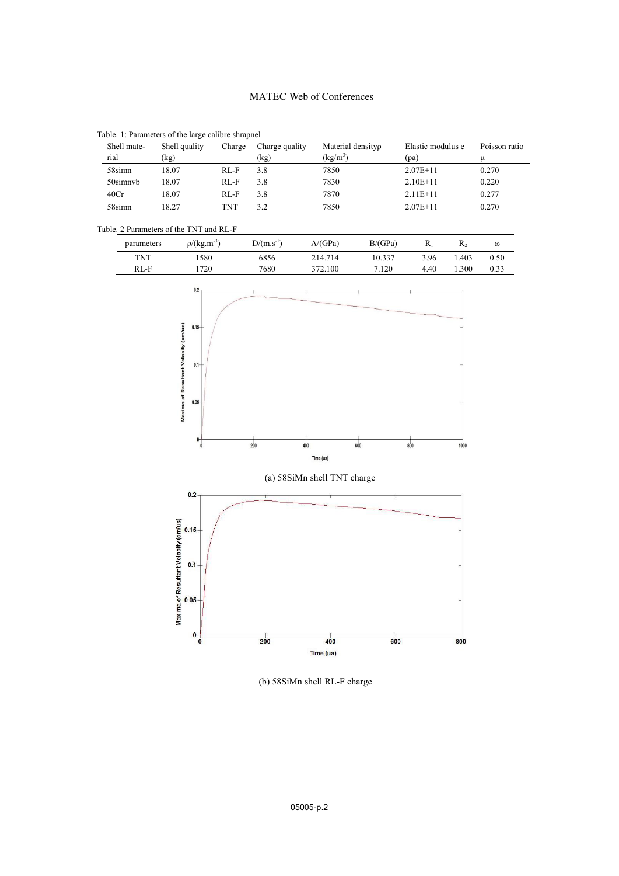# MATEC Web of Conferences

| Shell mate- | Shell quality | Charge     | Charge quality | Material densityp | Elastic modulus e | Poisson ratio |
|-------------|---------------|------------|----------------|-------------------|-------------------|---------------|
| rial        | (kg)          |            | (kg)           | $(\text{kg/m}^3)$ | (pa)              |               |
| 58simn      | 18.07         | RLF        | 3.8            | 7850              | $2.07E+11$        | 0.270         |
| 50simnyb    | 18.07         | RLF        | 3.8            | 7830              | $2.10E+11$        | 0.220         |
| 40Cr        | 18.07         | RLF        | 3.8            | 7870              | $2.11E+11$        | 0.277         |
| 58simn      | 18.27         | <b>TNT</b> | 3.2            | 7850              | $2.07E+11$        | 0.270         |

Table. 1: Parameters of the large calibre shrapnel

# Table. 2 Parameters of the TNT and RL-F

| parameters | $\rho/(kg.m^{-3})$ | $D/(m.s^{-1})$ | A/(GPa) | B/(GPa) |      | R,   | $\omega$ |
|------------|--------------------|----------------|---------|---------|------|------|----------|
| <b>TNT</b> | 580                | 6856           | 214.714 | 10.337  | 3.96 | .403 | 0.50     |
| $RL-F$     | 720                | 7680           | 372.100 | 7.120   | 4.40 | .300 | 0.33     |



(b) 58SiMn shell RL-F charge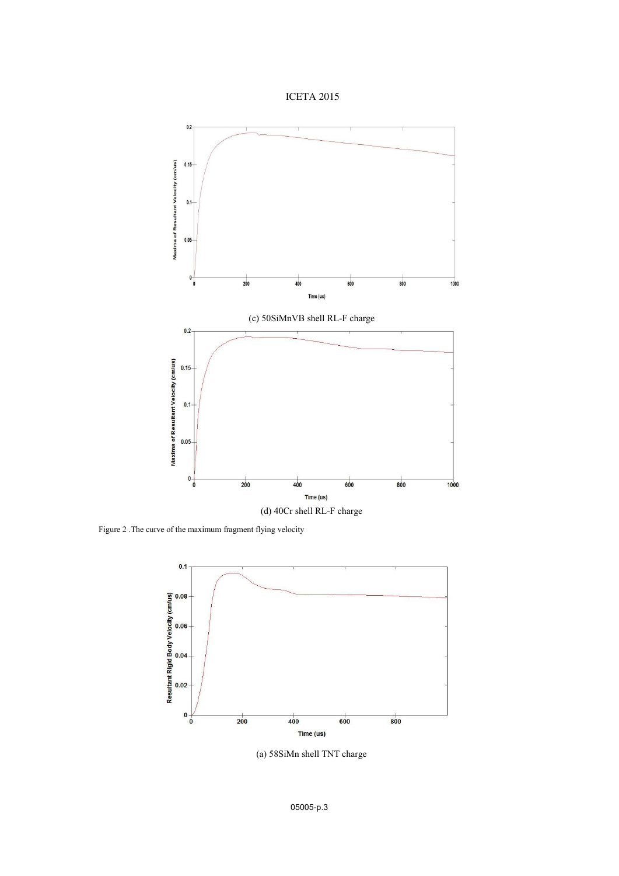



Figure 2 .The curve of the maximum fragment flying velocity



(a) 58SiMn shell TNT charge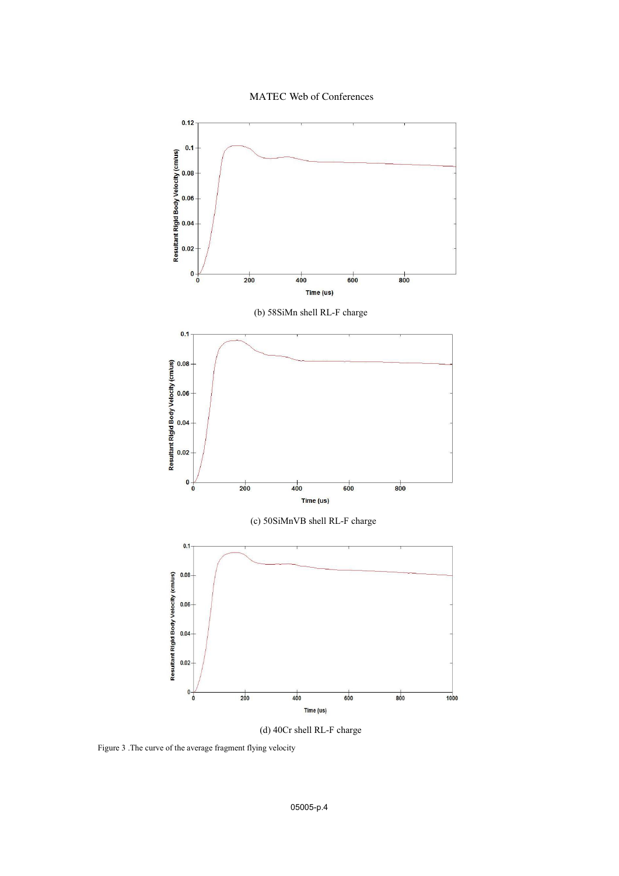MATEC Web of Conferences



(d) 40Cr shell RL-F charge

Figure 3 .The curve of the average fragment flying velocity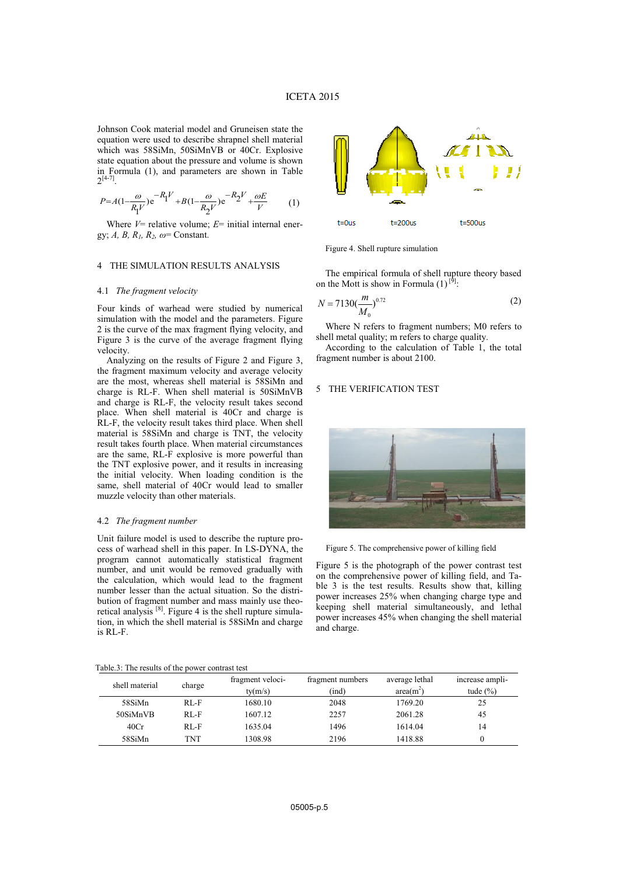Johnson Cook material model and Gruneisen state the equation were used to describe shrapnel shell material which was 58SiMn, 50SiMnVB or 40Cr. Explosive state equation about the pressure and volume is shown in Formula (1), and parameters are shown in Table  $2^{[4-7]}$ .

$$
P = A(1 - \frac{\omega}{R_1 V}) e^{-R_1 V} + B(1 - \frac{\omega}{R_2 V}) e^{-R_2 V} + \frac{\omega E}{V}
$$
 (1)

Where  $V=$  relative volume;  $E=$  initial internal energy; *A, B, R1, R2, ω*= Constant.

## 4 THE SIMULATION RESULTS ANALYSIS

### 4.1 *The fragment velocity*

Four kinds of warhead were studied by numerical simulation with the model and the parameters. Figure 2 is the curve of the max fragment flying velocity, and Figure 3 is the curve of the average fragment flying velocity.

Analyzing on the results of Figure 2 and Figure 3, the fragment maximum velocity and average velocity are the most, whereas shell material is 58SiMn and charge is RL-F. When shell material is 50SiMnVB and charge is RL-F, the velocity result takes second place. When shell material is 40Cr and charge is RL-F, the velocity result takes third place. When shell material is 58SiMn and charge is TNT, the velocity result takes fourth place. When material circumstances are the same, RL-F explosive is more powerful than the TNT explosive power, and it results in increasing the initial velocity. When loading condition is the same, shell material of 40Cr would lead to smaller muzzle velocity than other materials.

### 4.2 *The fragment number*

Unit failure model is used to describe the rupture process of warhead shell in this paper. In LS-DYNA, the program cannot automatically statistical fragment number, and unit would be removed gradually with the calculation, which would lead to the fragment number lesser than the actual situation. So the distribution of fragment number and mass mainly use theoretical analysis  $[8]$ . Figure 4 is the shell rupture simulation, in which the shell material is 58SiMn and charge is RL-F.



Figure 4. Shell rupture simulation

The empirical formula of shell rupture theory based on the Mott is show in Formula  $(1)$  [9]:

$$
N = 7130 \left(\frac{m}{M_0}\right)^{0.72} \tag{2}
$$

Where N refers to fragment numbers; M0 refers to shell metal quality; m refers to charge quality.

According to the calculation of Table 1, the total fragment number is about 2100.

### 5 THE VERIFICATION TEST



Figure 5. The comprehensive power of killing field

Figure 5 is the photograph of the power contrast test on the comprehensive power of killing field, and Table 3 is the test results. Results show that, killing power increases 25% when changing charge type and keeping shell material simultaneously, and lethal power increases 45% when changing the shell material and charge.

| Table.3: The results of the power contrast test |  |                                                 |  |
|-------------------------------------------------|--|-------------------------------------------------|--|
|                                                 |  | $C_{11}$ and $C_{21}$ and $C_{31}$ and $C_{41}$ |  |

| shell material | charge | fragment veloci-<br>ty(m/s) | fragment numbers<br>(ind) | average lethal<br>$area(m^2)$ | increase ampli-<br>tude $(\% )$ |
|----------------|--------|-----------------------------|---------------------------|-------------------------------|---------------------------------|
| 58SiMn         | RL-F   | 1680.10                     | 2048                      | 1769.20                       | 25                              |
| 50SiMnVB       | RLF    | 1607.12                     | 2257                      | 2061.28                       | 45                              |
| 40Cr           | RLF    | 1635.04                     | 1496                      | 1614.04                       | 14                              |
| 58SiMn         | TNT    | 1308.98                     | 2196                      | 1418.88                       |                                 |